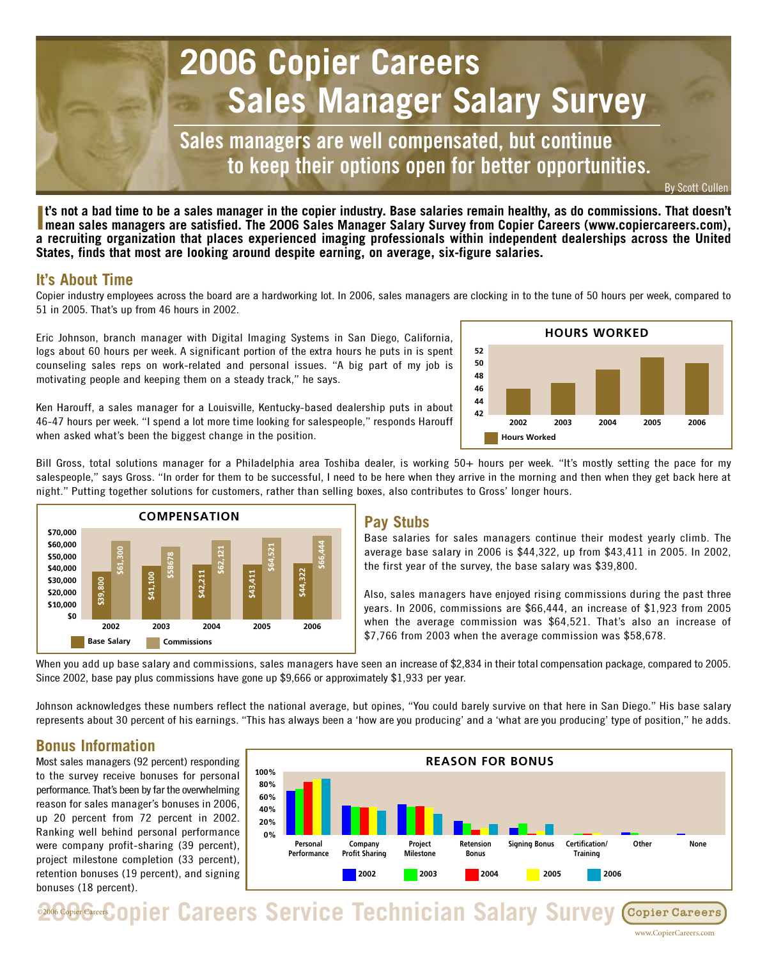

**I's not a bad time to be a sales manager in the copier industry. Base salaries remain healthy, as do commissions. That doesn't mean sales managers are satisfied. The 2006 Sales Manager Salary Survey from Copier Careers (w t's not a bad time to be a sales manager in the copier industry. Base salaries remain healthy, as do commissions. That doesn't a recruiting organization that places experienced imaging professionals within independent dealerships across the United States, finds that most are looking around despite earning, on average, six-figure salaries.** 

## **It's About Time**

Copier industry employees across the board are a hardworking lot. In 2006, sales managers are clocking in to the tune of 50 hours per week, compared to 51 in 2005. That's up from 46 hours in 2002.

Eric Johnson, branch manager with Digital Imaging Systems in San Diego, California, logs about 60 hours per week. A significant portion of the extra hours he puts in is spent counseling sales reps on work-related and personal issues. "A big part of my job is motivating people and keeping them on a steady track," he says.

Ken Harouff, a sales manager for a Louisville, Kentucky-based dealership puts in about 46-47 hours per week. "I spend a lot more time looking for salespeople," responds Harouff when asked what's been the biggest change in the position.



Bill Gross, total solutions manager for a Philadelphia area Toshiba dealer, is working 50+ hours per week. "It's mostly setting the pace for my salespeople," says Gross. "In order for them to be successful, I need to be here when they arrive in the morning and then when they get back here at night." Putting together solutions for customers, rather than selling boxes, also contributes to Gross' longer hours.



#### **Pay Stubs**

Base salaries for sales managers continue their modest yearly climb. The average base salary in 2006 is \$44,322, up from \$43,411 in 2005. In 2002, the first year of the survey, the base salary was \$39,800.

Also, sales managers have enjoyed rising commissions during the past three years. In 2006, commissions are \$66,444, an increase of \$1,923 from 2005 when the average commission was \$64,521. That's also an increase of \$7,766 from 2003 when the average commission was \$58,678.

When you add up base salary and commissions, sales managers have seen an increase of \$2,834 in their total compensation package, compared to 2005. Since 2002, base pay plus commissions have gone up \$9,666 or approximately \$1,933 per year.

Johnson acknowledges these numbers reflect the national average, but opines, "You could barely survive on that here in San Diego." His base salary represents about 30 percent of his earnings. "This has always been a 'how are you producing' and a 'what are you producing' type of position," he adds.

# **Bonus Information**

Most sales managers (92 percent) responding to the survey receive bonuses for personal performance. That's been by far the overwhelming reason for sales manager's bonuses in 2006, up 20 percent from 72 percent in 2002. Ranking well behind personal performance were company profit-sharing (39 percent), project milestone completion (33 percent), retention bonuses (19 percent), and signing bonuses (18 percent).



**2006 Copier Careers Service Technician Salary Survey** Copier Careers

www.CopierCareers.com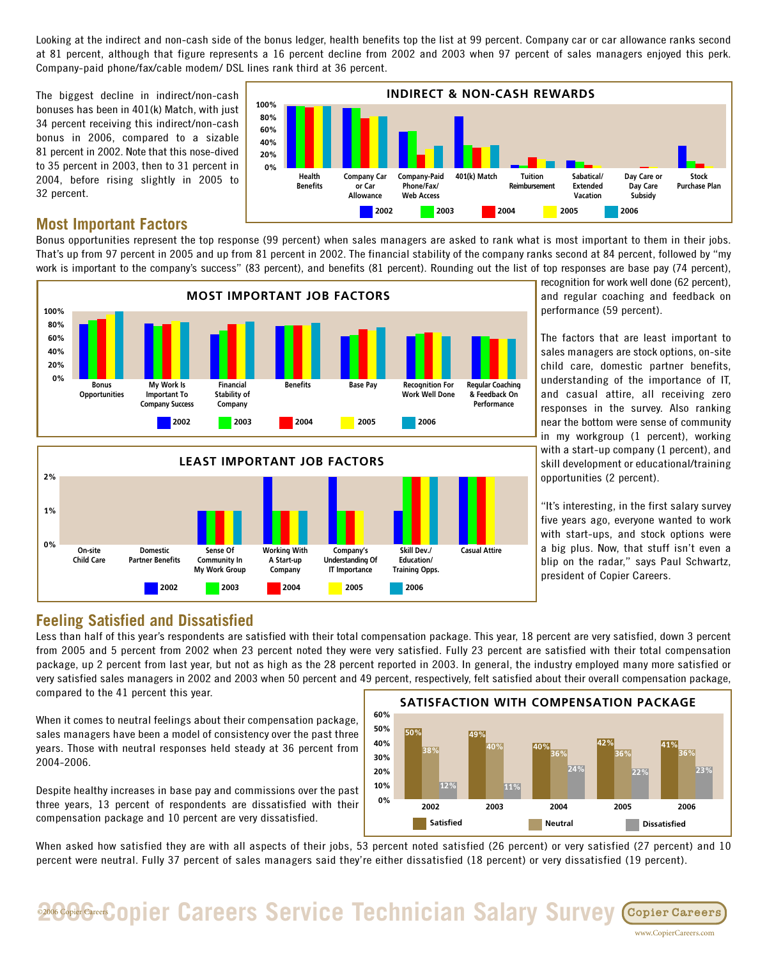Looking at the indirect and non-cash side of the bonus ledger, health benefits top the list at 99 percent. Company car or car allowance ranks second at 81 percent, although that figure represents a 16 percent decline from 2002 and 2003 when 97 percent of sales managers enjoyed this perk. Company-paid phone/fax/cable modem/ DSL lines rank third at 36 percent.

The biggest decline in indirect/non-cash bonuses has been in 401(k) Match, with just 34 percent receiving this indirect/non-cash bonus in 2006, compared to a sizable 81 percent in 2002. Note that this nose-dived to 35 percent in 2003, then to 31 percent in 2004, before rising slightly in 2005 to 32 percent.

#### 100% 80% 60% 40% 20% 0% INDIRECT & NON-CASH REWARDS Health Benefits Company Car or Car Allowance Company-Paid Phone/Fax/ Web Access 401(k) Match Tuition Reimbursen Sabatical/ Extended Vacation Day Care or Day Care Subsidy Stock Purchase Plan 2002 2003 2004 2005 2006

### **Most Important Factors**

Bonus opportunities represent the top response (99 percent) when sales managers are asked to rank what is most important to them in their jobs. That's up from 97 percent in 2005 and up from 81 percent in 2002. The financial stability of the company ranks second at 84 percent, followed by "my work is important to the company's success" (83 percent), and benefits (81 percent). Rounding out the list of top responses are base pay (74 percent),



Company

2002 2003 2004 2005 2006

recognition for work well done (62 percent), and regular coaching and feedback on performance (59 percent).

The factors that are least important to sales managers are stock options, on-site child care, domestic partner benefits, understanding of the importance of IT, and casual attire, all receiving zero responses in the survey. Also ranking near the bottom were sense of community in my workgroup (1 percent), working with a start-up company (1 percent), and skill development or educational/training opportunities (2 percent).

"It's interesting, in the first salary survey five years ago, everyone wanted to work with start-ups, and stock options were a big plus. Now, that stuff isn't even a blip on the radar," says Paul Schwartz, president of Copier Careers.

www.CopierCareers.com

## **Feeling Satisfied and Dissatisfied**

Less than half of this year's respondents are satisfied with their total compensation package. This year, 18 percent are very satisfied, down 3 percent from 2005 and 5 percent from 2002 when 23 percent noted they were very satisfied. Fully 23 percent are satisfied with their total compensation package, up 2 percent from last year, but not as high as the 28 percent reported in 2003. In general, the industry employed many more satisfied or very satisfied sales managers in 2002 and 2003 when 50 percent and 49 percent, respectively, felt satisfied about their overall compensation package, compared to the 41 percent this year.

Training Opps.

IT Importance

When it comes to neutral feelings about their compensation package, sales managers have been a model of consistency over the past three years. Those with neutral responses held steady at 36 percent from 2004-2006.

My Work Group

Despite healthy increases in base pay and commissions over the past three years, 13 percent of respondents are dissatisfied with their compensation package and 10 percent are very dissatisfied.



When asked how satisfied they are with all aspects of their jobs, 53 percent noted satisfied (26 percent) or very satisfied (27 percent) and 10 percent were neutral. Fully 37 percent of sales managers said they're either dissatisfied (18 percent) or very dissatisfied (19 percent).

**2006 Greek Copier Careers Service Technician Salary Survey Copier Careers**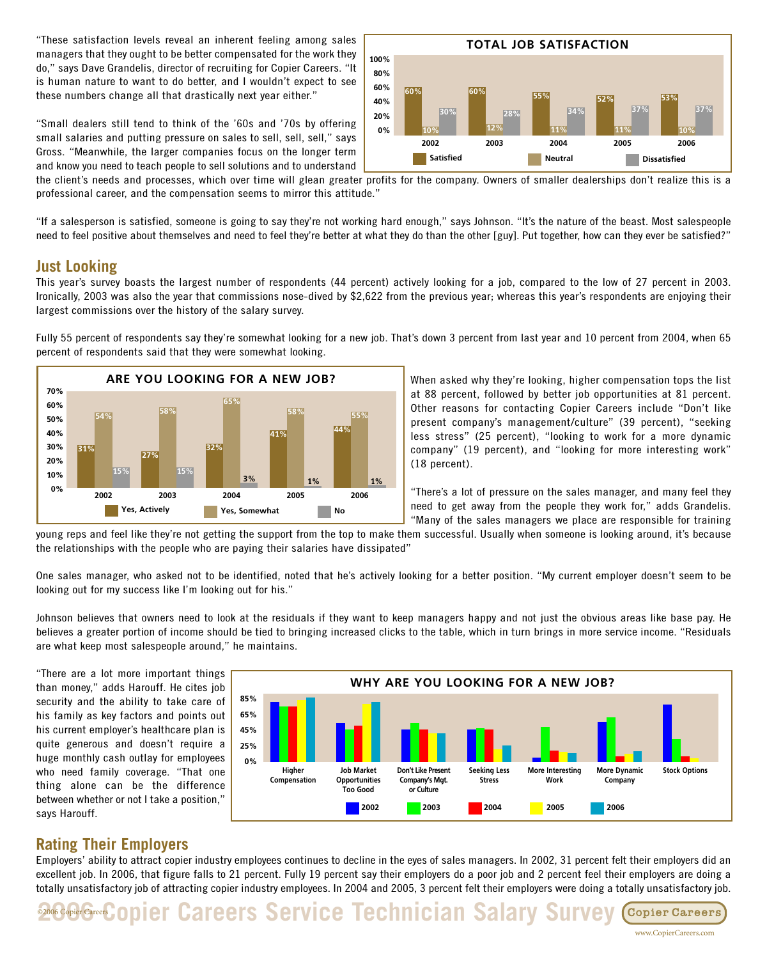"These satisfaction levels reveal an inherent feeling among sales managers that they ought to be better compensated for the work they do," says Dave Grandelis, director of recruiting for Copier Careers. "It is human nature to want to do better, and I wouldn't expect to see these numbers change all that drastically next year either."

"Small dealers still tend to think of the '60s and '70s by offering small salaries and putting pressure on sales to sell, sell, sell," says Gross. "Meanwhile, the larger companies focus on the longer term and know you need to teach people to sell solutions and to understand



the client's needs and processes, which over time will glean greater profits for the company. Owners of smaller dealerships don't realize this is a professional career, and the compensation seems to mirror this attitude."

"If a salesperson is satisfied, someone is going to say they're not working hard enough," says Johnson. "It's the nature of the beast. Most salespeople need to feel positive about themselves and need to feel they're better at what they do than the other [guy]. Put together, how can they ever be satisfied?"

#### **Just Looking**

This year's survey boasts the largest number of respondents (44 percent) actively looking for a job, compared to the low of 27 percent in 2003. Ironically, 2003 was also the year that commissions nose-dived by \$2,622 from the previous year; whereas this year's respondents are enjoying their largest commissions over the history of the salary survey.

Fully 55 percent of respondents say they're somewhat looking for a new job. That's down 3 percent from last year and 10 percent from 2004, when 65 percent of respondents said that they were somewhat looking.



When asked why they're looking, higher compensation tops the list at 88 percent, followed by better job opportunities at 81 percent. Other reasons for contacting Copier Careers include "Don't like present company's management/culture" (39 percent), "seeking less stress" (25 percent), "looking to work for a more dynamic company" (19 percent), and "looking for more interesting work" (18 percent).

"There's a lot of pressure on the sales manager, and many feel they need to get away from the people they work for," adds Grandelis. "Many of the sales managers we place are responsible for training

young reps and feel like they're not getting the support from the top to make them successful. Usually when someone is looking around, it's because the relationships with the people who are paying their salaries have dissipated"

One sales manager, who asked not to be identified, noted that he's actively looking for a better position. "My current employer doesn't seem to be looking out for my success like I'm looking out for his."

Johnson believes that owners need to look at the residuals if they want to keep managers happy and not just the obvious areas like base pay. He believes a greater portion of income should be tied to bringing increased clicks to the table, which in turn brings in more service income. "Residuals are what keep most salespeople around," he maintains.

"There are a lot more important things than money," adds Harouff. He cites job security and the ability to take care of his family as key factors and points out his current employer's healthcare plan is quite generous and doesn't require a huge monthly cash outlay for employees who need family coverage. "That one thing alone can be the difference between whether or not I take a position," says Harouff.



## **Rating Their Employers**

Employers' ability to attract copier industry employees continues to decline in the eyes of sales managers. In 2002, 31 percent felt their employers did an excellent job. In 2006, that figure falls to 21 percent. Fully 19 percent say their employers do a poor job and 2 percent feel their employers are doing a totally unsatisfactory job of attracting copier industry employees. In 2004 and 2005, 3 percent felt their employers were doing a totally unsatisfactory job.

**2006 Geef Copier Careers Service Technician Salary Survey Copier Careers**